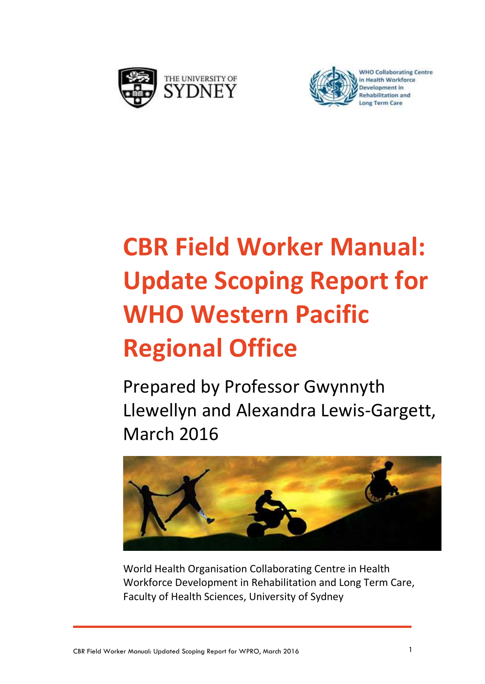



# **CBR Field Worker Manual: Update Scoping Report for WHO Western Pacific Regional Office**

Prepared by Professor Gwynnyth Llewellyn and Alexandra Lewis-Gargett, March 2016



World Health Organisation Collaborating Centre in Health Workforce Development in Rehabilitation and Long Term Care, Faculty of Health Sciences, University of Sydney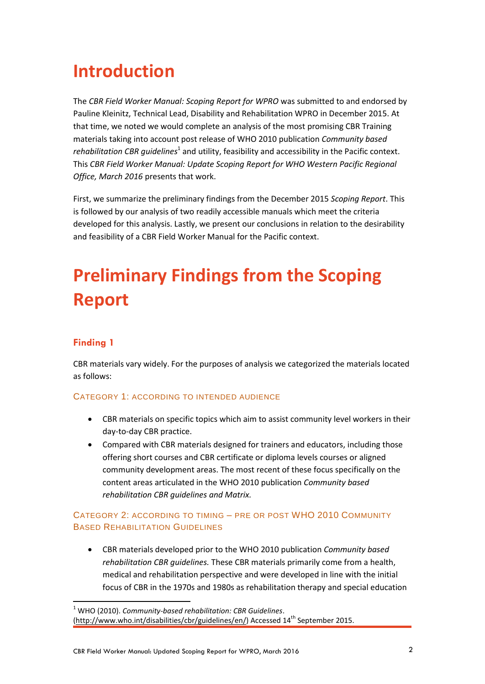# **Introduction**

The *CBR Field Worker Manual: Scoping Report for WPRO* was submitted to and endorsed by Pauline Kleinitz, Technical Lead, Disability and Rehabilitation WPRO in December 2015. At that time, we noted we would complete an analysis of the most promising CBR Training materials taking into account post release of WHO 2010 publication *Community based*  rehabilitation CBR guidelines<sup>1</sup> and utility, feasibility and accessibility in the Pacific context. This *CBR Field Worker Manual: Update Scoping Report for WHO Western Pacific Regional Office, March 2016* presents that work.

First, we summarize the preliminary findings from the December 2015 *Scoping Report*. This is followed by our analysis of two readily accessible manuals which meet the criteria developed for this analysis. Lastly, we present our conclusions in relation to the desirability and feasibility of a CBR Field Worker Manual for the Pacific context.

# **Preliminary Findings from the Scoping Report**

#### **Finding 1**

CBR materials vary widely. For the purposes of analysis we categorized the materials located as follows:

#### CATEGORY 1: ACCORDING TO INTENDED AUDIENCE

- CBR materials on specific topics which aim to assist community level workers in their day-to-day CBR practice.
- Compared with CBR materials designed for trainers and educators, including those offering short courses and CBR certificate or diploma levels courses or aligned community development areas. The most recent of these focus specifically on the content areas articulated in the WHO 2010 publication *Community based rehabilitation CBR guidelines and Matrix.*

#### CATEGORY 2: ACCORDING TO TIMING – PRE OR POST WHO 2010 COMMUNITY BASED REHABILITATION GUIDELINES

 CBR materials developed prior to the WHO 2010 publication *Community based rehabilitation CBR guidelines.* These CBR materials primarily come from a health, medical and rehabilitation perspective and were developed in line with the initial focus of CBR in the 1970s and 1980s as rehabilitation therapy and special education

 <sup>1</sup> WHO (2010). *Community-based rehabilitation: CBR Guidelines*. [\(http://www.who.int/disabilities/cbr/guidelines/en/\)](http://www.who.int/disabilities/cbr/guidelines/en/) Accessed 14<sup>th</sup> September 2015.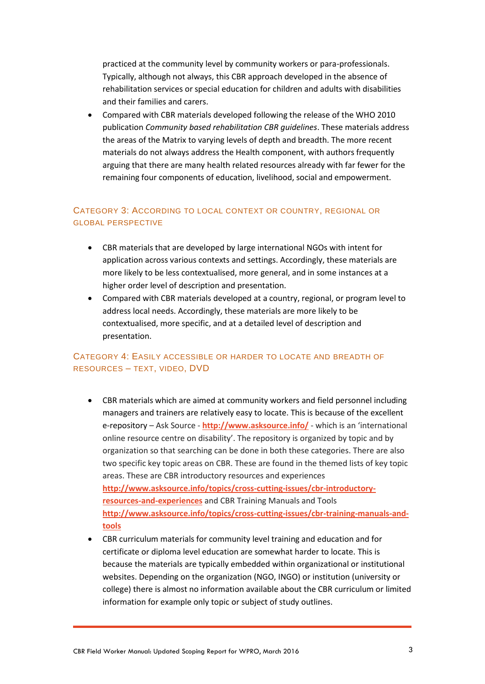practiced at the community level by community workers or para-professionals. Typically, although not always, this CBR approach developed in the absence of rehabilitation services or special education for children and adults with disabilities and their families and carers.

 Compared with CBR materials developed following the release of the WHO 2010 publication *Community based rehabilitation CBR guidelines*. These materials address the areas of the Matrix to varying levels of depth and breadth. The more recent materials do not always address the Health component, with authors frequently arguing that there are many health related resources already with far fewer for the remaining four components of education, livelihood, social and empowerment.

#### CATEGORY 3: ACCORDING TO LOCAL CONTEXT OR COUNTRY, REGIONAL OR GLOBAL PERSPECTIVE

- CBR materials that are developed by large international NGOs with intent for application across various contexts and settings. Accordingly, these materials are more likely to be less contextualised, more general, and in some instances at a higher order level of description and presentation.
- Compared with CBR materials developed at a country, regional, or program level to address local needs. Accordingly, these materials are more likely to be contextualised, more specific, and at a detailed level of description and presentation.

#### CATEGORY 4: EASILY ACCESSIBLE OR HARDER TO LOCATE AND BREADTH OF RESOURCES – TEXT, VIDEO, DVD

- CBR materials which are aimed at community workers and field personnel including managers and trainers are relatively easy to locate. This is because of the excellent e-repository – Ask Source - **<http://www.asksource.info/>** - which is an 'international online resource centre on disability'. The repository is organized by topic and by organization so that searching can be done in both these categories. There are also two specific key topic areas on CBR. These are found in the themed lists of key topic areas. These are CBR introductory resources and experiences **[http://www.asksource.info/topics/cross-cutting-issues/cbr-introductory](http://www.asksource.info/topics/cross-cutting-issues/cbr-introductory-resources-and-experiences)[resources-and-experiences](http://www.asksource.info/topics/cross-cutting-issues/cbr-introductory-resources-and-experiences)** and CBR Training Manuals and Tools **[http://www.asksource.info/topics/cross-cutting-issues/cbr-training-manuals-and](http://www.asksource.info/topics/cross-cutting-issues/cbr-training-manuals-and-tools)[tools](http://www.asksource.info/topics/cross-cutting-issues/cbr-training-manuals-and-tools)**
- CBR curriculum materials for community level training and education and for certificate or diploma level education are somewhat harder to locate. This is because the materials are typically embedded within organizational or institutional websites. Depending on the organization (NGO, INGO) or institution (university or college) there is almost no information available about the CBR curriculum or limited information for example only topic or subject of study outlines.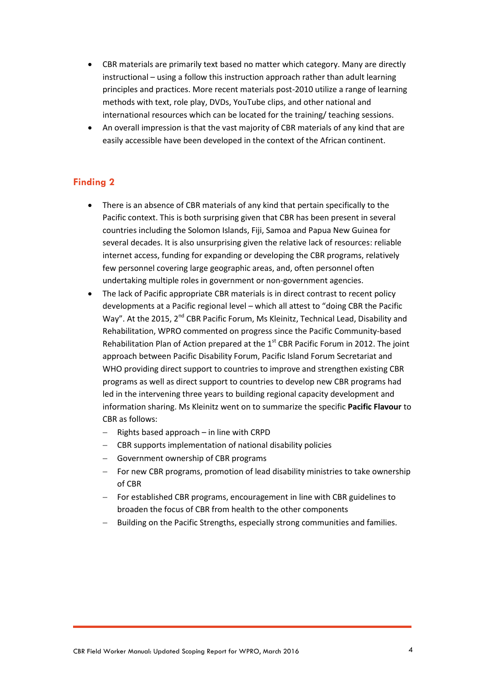- CBR materials are primarily text based no matter which category. Many are directly instructional – using a follow this instruction approach rather than adult learning principles and practices. More recent materials post-2010 utilize a range of learning methods with text, role play, DVDs, YouTube clips, and other national and international resources which can be located for the training/ teaching sessions.
- An overall impression is that the vast majority of CBR materials of any kind that are easily accessible have been developed in the context of the African continent.

#### **Finding 2**

- There is an absence of CBR materials of any kind that pertain specifically to the Pacific context. This is both surprising given that CBR has been present in several countries including the Solomon Islands, Fiji, Samoa and Papua New Guinea for several decades. It is also unsurprising given the relative lack of resources: reliable internet access, funding for expanding or developing the CBR programs, relatively few personnel covering large geographic areas, and, often personnel often undertaking multiple roles in government or non-government agencies.
- The lack of Pacific appropriate CBR materials is in direct contrast to recent policy developments at a Pacific regional level – which all attest to "doing CBR the Pacific Way". At the 2015, 2<sup>nd</sup> CBR Pacific Forum, Ms Kleinitz, Technical Lead, Disability and Rehabilitation, WPRO commented on progress since the Pacific Community-based Rehabilitation Plan of Action prepared at the  $1<sup>st</sup>$  CBR Pacific Forum in 2012. The joint approach between Pacific Disability Forum, Pacific Island Forum Secretariat and WHO providing direct support to countries to improve and strengthen existing CBR programs as well as direct support to countries to develop new CBR programs had led in the intervening three years to building regional capacity development and information sharing. Ms Kleinitz went on to summarize the specific **Pacific Flavour** to CBR as follows:
	- Rights based approach in line with CRPD
	- CBR supports implementation of national disability policies
	- Government ownership of CBR programs
	- For new CBR programs, promotion of lead disability ministries to take ownership of CBR
	- For established CBR programs, encouragement in line with CBR guidelines to broaden the focus of CBR from health to the other components
	- Building on the Pacific Strengths, especially strong communities and families.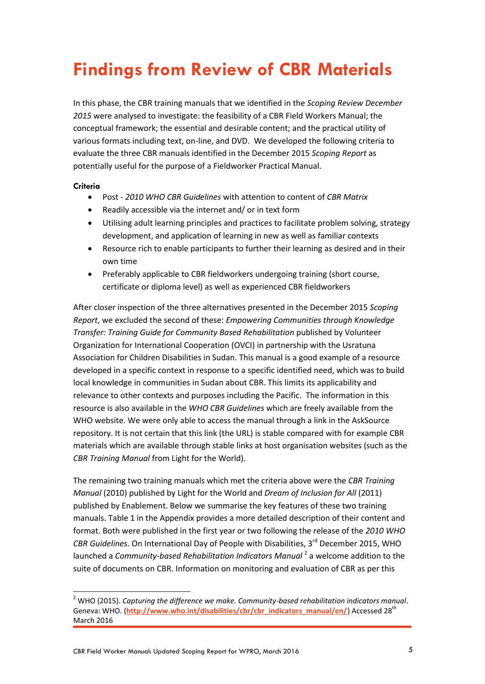# **Findings from Review of CBR Materials**

In this phase, the CBR training manuals that we identified in the *Scoping Review December 2015* were analysed to investigate: the feasibility of a CBR Field Workers Manual; the conceptual framework; the essential and desirable content; and the practical utility of various formats including text, on-line, and DVD. We developed the following criteria to evaluate the three CBR manuals identified in the December 2015 *Scoping Report* as potentially useful for the purpose of a Fieldworker Practical Manual.

#### **Criteria**

- Post *2010 WHO CBR Guidelines* with attention to content of *CBR Matrix*
- Readily accessible via the internet and/ or in text form
- Utilising adult learning principles and practices to facilitate problem solving, strategy development, and application of learning in new as well as familiar contexts
- Resource rich to enable participants to further their learning as desired and in their own time
- Preferably applicable to CBR fieldworkers undergoing training (short course, certificate or diploma level) as well as experienced CBR fieldworkers

After closer inspection of the three alternatives presented in the December 2015 *Scoping Report*, we excluded the second of these: *Empowering Communities through Knowledge Transfer: Training Guide for Community Based Rehabilitation* published by Volunteer Organization for International Cooperation (OVCI) in partnership with the Usratuna Association for Children Disabilities in Sudan. This manual is a good example of a resource developed in a specific context in response to a specific identified need, which was to build local knowledge in communities in Sudan about CBR. This limits its applicability and relevance to other contexts and purposes including the Pacific. The information in this resource is also available in the *WHO CBR Guidelines* which are freely available from the WHO website. We were only able to access the manual through a link in the AskSource repository. It is not certain that this link (the URL) is stable compared with for example CBR materials which are available through stable links at host organisation websites (such as the *CBR Training Manual* from Light for the World).

The remaining two training manuals which met the criteria above were the *CBR Training Manual* (2010) published by Light for the World and *Dream of Inclusion for All* (2011) published by Enablement. Below we summarise the key features of these two training manuals. Table 1 in the Appendix provides a more detailed description of their content and format. Both were published in the first year or two following the release of the *2010 WHO CBR Guidelines*. On International Day of People with Disabilities, 3<sup>rd</sup> December 2015. WHO launched a *Community-based Rehabilitation Indicators Manual*<sup>2</sup> a welcome addition to the suite of documents on CBR. Information on monitoring and evaluation of CBR as per this

<sup>2</sup> WHO (2015). *Capturing the difference we make. Community-based rehabilitation indicators manual*. Geneva: WHO. ([http://www.who.int/disabilities/cbr/cbr\\_indicators\\_manual/en/](http://www.who.int/disabilities/cbr/cbr_indicators_manual/en/)) Accessed 28<sup>th</sup> March 2016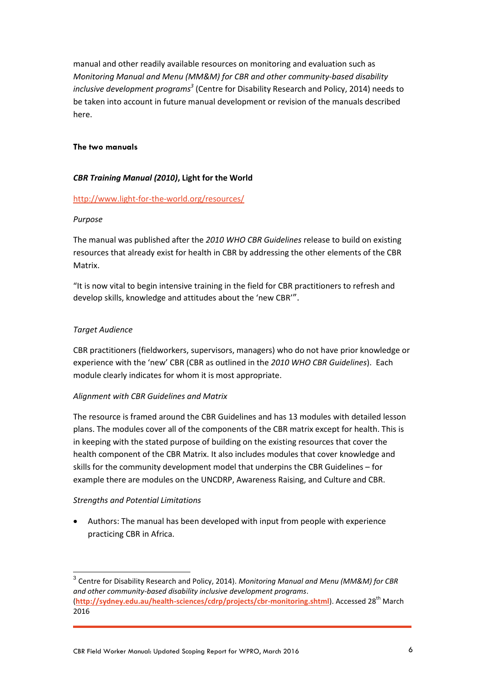manual and other readily available resources on monitoring and evaluation such as *Monitoring Manual and Menu (MM&M) for CBR and other community-based disability inclusive development programs<sup>3</sup>* (Centre for Disability Research and Policy, 2014) needs to be taken into account in future manual development or revision of the manuals described here.

#### **The two manuals**

#### *CBR Training Manual (2010)***, Light for the World**

#### <http://www.light-for-the-world.org/resources/>

#### *Purpose*

The manual was published after the *2010 WHO CBR Guidelines* release to build on existing resources that already exist for health in CBR by addressing the other elements of the CBR Matrix.

"It is now vital to begin intensive training in the field for CBR practitioners to refresh and develop skills, knowledge and attitudes about the 'new CBR'".

#### *Target Audience*

CBR practitioners (fieldworkers, supervisors, managers) who do not have prior knowledge or experience with the 'new' CBR (CBR as outlined in the *2010 WHO CBR Guidelines*). Each module clearly indicates for whom it is most appropriate.

#### *Alignment with CBR Guidelines and Matrix*

The resource is framed around the CBR Guidelines and has 13 modules with detailed lesson plans. The modules cover all of the components of the CBR matrix except for health. This is in keeping with the stated purpose of building on the existing resources that cover the health component of the CBR Matrix. It also includes modules that cover knowledge and skills for the community development model that underpins the CBR Guidelines – for example there are modules on the UNCDRP, Awareness Raising, and Culture and CBR.

#### *Strengths and Potential Limitations*

 Authors: The manual has been developed with input from people with experience practicing CBR in Africa.

<sup>3</sup> Centre for Disability Research and Policy, 2014). *Monitoring Manual and Menu (MM&M) for CBR and other community-based disability inclusive development programs*. (**<http://sydney.edu.au/health-sciences/cdrp/projects/cbr-monitoring.shtml>**). Accessed 28th March 2016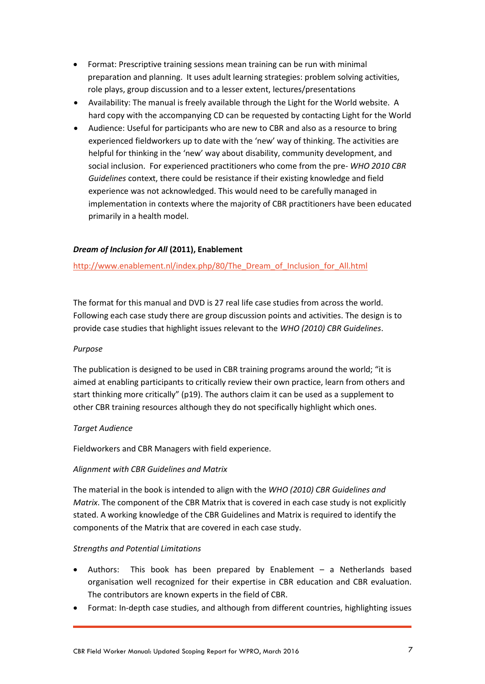- Format: Prescriptive training sessions mean training can be run with minimal preparation and planning. It uses adult learning strategies: problem solving activities, role plays, group discussion and to a lesser extent, lectures/presentations
- Availability: The manual is freely available through the Light for the World website. A hard copy with the accompanying CD can be requested by contacting Light for the World
- Audience: Useful for participants who are new to CBR and also as a resource to bring experienced fieldworkers up to date with the 'new' way of thinking. The activities are helpful for thinking in the 'new' way about disability, community development, and social inclusion. For experienced practitioners who come from the pre- *WHO 2010 CBR Guidelines* context, there could be resistance if their existing knowledge and field experience was not acknowledged. This would need to be carefully managed in implementation in contexts where the majority of CBR practitioners have been educated primarily in a health model.

#### *Dream of Inclusion for All* **(2011), Enablement**

[http://www.enablement.nl/index.php/80/The\\_Dream\\_of\\_Inclusion\\_for\\_All.html](http://www.enablement.nl/index.php/80/The_Dream_of_Inclusion_for_All.html)

The format for this manual and DVD is 27 real life case studies from across the world. Following each case study there are group discussion points and activities. The design is to provide case studies that highlight issues relevant to the *WHO (2010) CBR Guidelines*.

#### *Purpose*

The publication is designed to be used in CBR training programs around the world; "it is aimed at enabling participants to critically review their own practice, learn from others and start thinking more critically" (p19). The authors claim it can be used as a supplement to other CBR training resources although they do not specifically highlight which ones.

#### *Target Audience*

Fieldworkers and CBR Managers with field experience.

#### *Alignment with CBR Guidelines and Matrix*

The material in the book is intended to align with the *WHO (2010) CBR Guidelines and Matrix*. The component of the CBR Matrix that is covered in each case study is not explicitly stated. A working knowledge of the CBR Guidelines and Matrix is required to identify the components of the Matrix that are covered in each case study.

#### *Strengths and Potential Limitations*

- Authors: This book has been prepared by Enablement a Netherlands based organisation well recognized for their expertise in CBR education and CBR evaluation. The contributors are known experts in the field of CBR.
- Format: In-depth case studies, and although from different countries, highlighting issues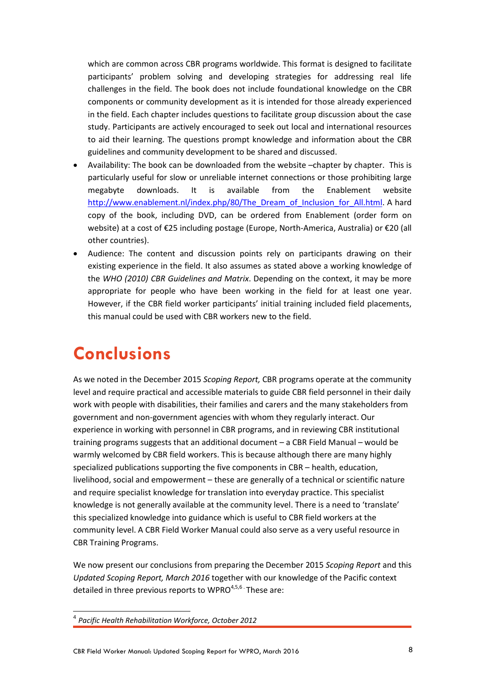which are common across CBR programs worldwide. This format is designed to facilitate participants' problem solving and developing strategies for addressing real life challenges in the field. The book does not include foundational knowledge on the CBR components or community development as it is intended for those already experienced in the field. Each chapter includes questions to facilitate group discussion about the case study. Participants are actively encouraged to seek out local and international resources to aid their learning. The questions prompt knowledge and information about the CBR guidelines and community development to be shared and discussed.

- Availability: The book can be downloaded from the website -chapter by chapter. This is particularly useful for slow or unreliable internet connections or those prohibiting large megabyte downloads. It is available from the Enablement website [http://www.enablement.nl/index.php/80/The\\_Dream\\_of\\_Inclusion\\_for\\_All.html.](http://www.enablement.nl/index.php/80/The_Dream_of_Inclusion_for_All.html) A hard copy of the book, including DVD, can be ordered from Enablement (order form on website) at a cost of €25 including postage (Europe, North-America, Australia) or €20 (all other countries).
- Audience: The content and discussion points rely on participants drawing on their existing experience in the field. It also assumes as stated above a working knowledge of the *WHO (2010) CBR Guidelines and Matrix*. Depending on the context, it may be more appropriate for people who have been working in the field for at least one year. However, if the CBR field worker participants' initial training included field placements, this manual could be used with CBR workers new to the field.

### **Conclusions**

As we noted in the December 2015 *Scoping Report,* CBR programs operate at the community level and require practical and accessible materials to guide CBR field personnel in their daily work with people with disabilities, their families and carers and the many stakeholders from government and non-government agencies with whom they regularly interact. Our experience in working with personnel in CBR programs, and in reviewing CBR institutional training programs suggests that an additional document – a CBR Field Manual – would be warmly welcomed by CBR field workers. This is because although there are many highly specialized publications supporting the five components in CBR – health, education, livelihood, social and empowerment – these are generally of a technical or scientific nature and require specialist knowledge for translation into everyday practice. This specialist knowledge is not generally available at the community level. There is a need to 'translate' this specialized knowledge into guidance which is useful to CBR field workers at the community level. A CBR Field Worker Manual could also serve as a very useful resource in CBR Training Programs.

We now present our conclusions from preparing the December 2015 *Scoping Report* and this *Updated Scoping Report, March 2016* together with our knowledge of the Pacific context detailed in three previous reports to WPRO $4,5,6$ . These are:

 $\overline{a}$ 

<sup>4</sup> *Pacific Health Rehabilitation Workforce, October 2012*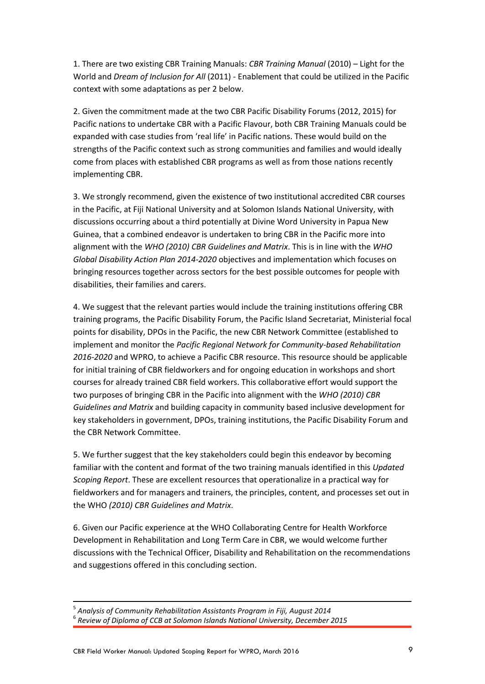1. There are two existing CBR Training Manuals: *CBR Training Manual* (2010) – Light for the World and *Dream of Inclusion for All* (2011) - Enablement that could be utilized in the Pacific context with some adaptations as per 2 below.

2. Given the commitment made at the two CBR Pacific Disability Forums (2012, 2015) for Pacific nations to undertake CBR with a Pacific Flavour, both CBR Training Manuals could be expanded with case studies from 'real life' in Pacific nations. These would build on the strengths of the Pacific context such as strong communities and families and would ideally come from places with established CBR programs as well as from those nations recently implementing CBR.

3. We strongly recommend, given the existence of two institutional accredited CBR courses in the Pacific, at Fiji National University and at Solomon Islands National University, with discussions occurring about a third potentially at Divine Word University in Papua New Guinea, that a combined endeavor is undertaken to bring CBR in the Pacific more into alignment with the *WHO (2010) CBR Guidelines and Matrix*. This is in line with the *WHO Global Disability Action Plan 2014-2020* objectives and implementation which focuses on bringing resources together across sectors for the best possible outcomes for people with disabilities, their families and carers.

4. We suggest that the relevant parties would include the training institutions offering CBR training programs, the Pacific Disability Forum, the Pacific Island Secretariat, Ministerial focal points for disability, DPOs in the Pacific, the new CBR Network Committee (established to implement and monitor the *Pacific Regional Network for Community-based Rehabilitation 2016-2020* and WPRO, to achieve a Pacific CBR resource. This resource should be applicable for initial training of CBR fieldworkers and for ongoing education in workshops and short courses for already trained CBR field workers. This collaborative effort would support the two purposes of bringing CBR in the Pacific into alignment with the *WHO (2010) CBR Guidelines and Matrix* and building capacity in community based inclusive development for key stakeholders in government, DPOs, training institutions, the Pacific Disability Forum and the CBR Network Committee.

5. We further suggest that the key stakeholders could begin this endeavor by becoming familiar with the content and format of the two training manuals identified in this *Updated Scoping Report*. These are excellent resources that operationalize in a practical way for fieldworkers and for managers and trainers, the principles, content, and processes set out in the WHO *(2010) CBR Guidelines and Matrix*.

6. Given our Pacific experience at the WHO Collaborating Centre for Health Workforce Development in Rehabilitation and Long Term Care in CBR, we would welcome further discussions with the Technical Officer, Disability and Rehabilitation on the recommendations and suggestions offered in this concluding section.

1

<sup>5</sup> *Analysis of Community Rehabilitation Assistants Program in Fiji, August 2014* 6 *Review of Diploma of CCB at Solomon Islands National University, December 2015*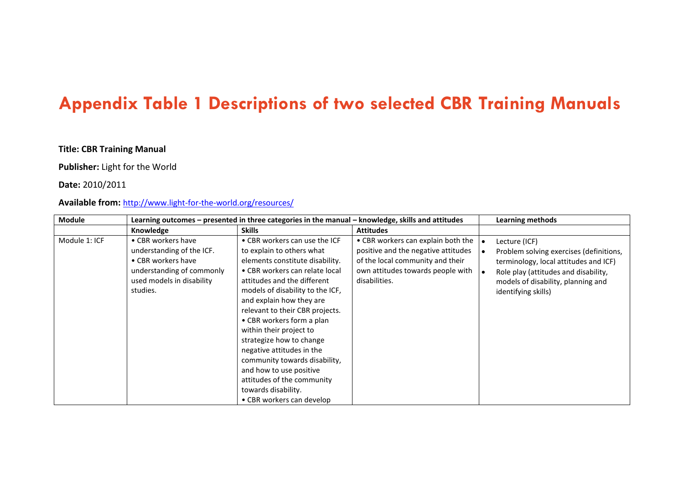### **Appendix Table 1 Descriptions of two selected CBR Training Manuals**

#### **Title: CBR Training Manual**

#### **Publisher:** Light for the World

#### **Date:** 2010/2011

#### **Available from:** <http://www.light-for-the-world.org/resources/>

| <b>Module</b> |                                                                                                                                             | Learning outcomes - presented in three categories in the manual - knowledge, skills and attitudes                                                                                                                                                                                                                                                                                                                                                                                                                                |                                                                                                                                                                     | <b>Learning methods</b>                                                                                                                                                                                |
|---------------|---------------------------------------------------------------------------------------------------------------------------------------------|----------------------------------------------------------------------------------------------------------------------------------------------------------------------------------------------------------------------------------------------------------------------------------------------------------------------------------------------------------------------------------------------------------------------------------------------------------------------------------------------------------------------------------|---------------------------------------------------------------------------------------------------------------------------------------------------------------------|--------------------------------------------------------------------------------------------------------------------------------------------------------------------------------------------------------|
|               | Knowledge                                                                                                                                   | <b>Skills</b>                                                                                                                                                                                                                                                                                                                                                                                                                                                                                                                    | <b>Attitudes</b>                                                                                                                                                    |                                                                                                                                                                                                        |
| Module 1: ICF | • CBR workers have<br>understanding of the ICF.<br>• CBR workers have<br>understanding of commonly<br>used models in disability<br>studies. | • CBR workers can use the ICF<br>to explain to others what<br>elements constitute disability.<br>• CBR workers can relate local<br>attitudes and the different<br>models of disability to the ICF.<br>and explain how they are<br>relevant to their CBR projects.<br>• CBR workers form a plan<br>within their project to<br>strategize how to change<br>negative attitudes in the<br>community towards disability,<br>and how to use positive<br>attitudes of the community<br>towards disability.<br>• CBR workers can develop | • CBR workers can explain both the<br>positive and the negative attitudes<br>of the local community and their<br>own attitudes towards people with<br>disabilities. | Lecture (ICF)<br>Problem solving exercises (definitions,<br>terminology, local attitudes and ICF)<br>Role play (attitudes and disability,<br>models of disability, planning and<br>identifying skills) |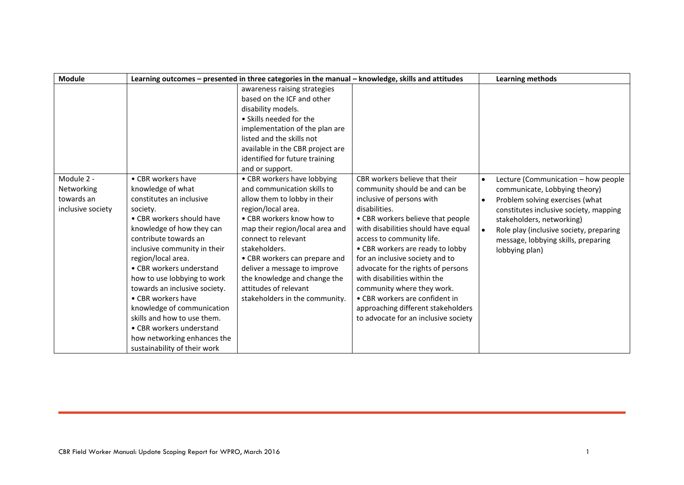| <b>Module</b>                                               |                                                                                                                                                                                                                                                                                                                                                                                                                                                                                                    | Learning outcomes - presented in three categories in the manual - knowledge, skills and attitudes                                                                                                                                                                                                                                                                                    |                                                                                                                                                                                                                                                                                                                                                                                                                                                                                                                    | <b>Learning methods</b>                                                                                                                                                                                                                                                                         |
|-------------------------------------------------------------|----------------------------------------------------------------------------------------------------------------------------------------------------------------------------------------------------------------------------------------------------------------------------------------------------------------------------------------------------------------------------------------------------------------------------------------------------------------------------------------------------|--------------------------------------------------------------------------------------------------------------------------------------------------------------------------------------------------------------------------------------------------------------------------------------------------------------------------------------------------------------------------------------|--------------------------------------------------------------------------------------------------------------------------------------------------------------------------------------------------------------------------------------------------------------------------------------------------------------------------------------------------------------------------------------------------------------------------------------------------------------------------------------------------------------------|-------------------------------------------------------------------------------------------------------------------------------------------------------------------------------------------------------------------------------------------------------------------------------------------------|
|                                                             |                                                                                                                                                                                                                                                                                                                                                                                                                                                                                                    | awareness raising strategies<br>based on the ICF and other<br>disability models.<br>• Skills needed for the<br>implementation of the plan are<br>listed and the skills not<br>available in the CBR project are<br>identified for future training<br>and or support.                                                                                                                  |                                                                                                                                                                                                                                                                                                                                                                                                                                                                                                                    |                                                                                                                                                                                                                                                                                                 |
| Module 2 -<br>Networking<br>towards an<br>inclusive society | • CBR workers have<br>knowledge of what<br>constitutes an inclusive<br>society.<br>• CBR workers should have<br>knowledge of how they can<br>contribute towards an<br>inclusive community in their<br>region/local area.<br>• CBR workers understand<br>how to use lobbying to work<br>towards an inclusive society.<br>• CBR workers have<br>knowledge of communication<br>skills and how to use them.<br>• CBR workers understand<br>how networking enhances the<br>sustainability of their work | • CBR workers have lobbying<br>and communication skills to<br>allow them to lobby in their<br>region/local area.<br>• CBR workers know how to<br>map their region/local area and<br>connect to relevant<br>stakeholders.<br>• CBR workers can prepare and<br>deliver a message to improve<br>the knowledge and change the<br>attitudes of relevant<br>stakeholders in the community. | CBR workers believe that their<br>community should be and can be<br>inclusive of persons with<br>disabilities.<br>• CBR workers believe that people<br>with disabilities should have equal<br>access to community life.<br>• CBR workers are ready to lobby<br>for an inclusive society and to<br>advocate for the rights of persons<br>with disabilities within the<br>community where they work.<br>• CBR workers are confident in<br>approaching different stakeholders<br>to advocate for an inclusive society | Lecture (Communication - how people<br>$\bullet$<br>communicate, Lobbying theory)<br>Problem solving exercises (what<br>constitutes inclusive society, mapping<br>stakeholders, networking)<br>Role play (inclusive society, preparing<br>message, lobbying skills, preparing<br>lobbying plan) |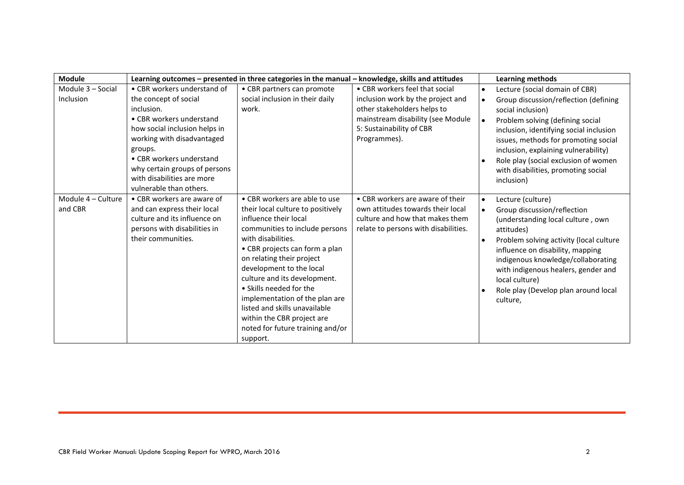| <b>Module</b>      |                               | Learning outcomes - presented in three categories in the manual - knowledge, skills and attitudes |                                      |           | <b>Learning methods</b>                 |
|--------------------|-------------------------------|---------------------------------------------------------------------------------------------------|--------------------------------------|-----------|-----------------------------------------|
| Module 3 - Social  | • CBR workers understand of   | • CBR partners can promote                                                                        | • CBR workers feel that social       | $\bullet$ | Lecture (social domain of CBR)          |
| Inclusion          | the concept of social         | social inclusion in their daily                                                                   | inclusion work by the project and    | $\bullet$ | Group discussion/reflection (defining   |
|                    | inclusion.                    | work.                                                                                             | other stakeholders helps to          |           | social inclusion)                       |
|                    | • CBR workers understand      |                                                                                                   | mainstream disability (see Module    |           | Problem solving (defining social        |
|                    | how social inclusion helps in |                                                                                                   | 5: Sustainability of CBR             |           | inclusion, identifying social inclusion |
|                    | working with disadvantaged    |                                                                                                   | Programmes).                         |           | issues, methods for promoting social    |
|                    | groups.                       |                                                                                                   |                                      |           | inclusion, explaining vulnerability)    |
|                    | • CBR workers understand      |                                                                                                   |                                      |           | Role play (social exclusion of women    |
|                    | why certain groups of persons |                                                                                                   |                                      |           | with disabilities, promoting social     |
|                    | with disabilities are more    |                                                                                                   |                                      |           | inclusion)                              |
|                    | vulnerable than others.       |                                                                                                   |                                      |           |                                         |
| Module 4 - Culture | • CBR workers are aware of    | • CBR workers are able to use                                                                     | • CBR workers are aware of their     | $\bullet$ | Lecture (culture)                       |
| and CBR            | and can express their local   | their local culture to positively                                                                 | own attitudes towards their local    | $\bullet$ | Group discussion/reflection             |
|                    | culture and its influence on  | influence their local                                                                             | culture and how that makes them      |           | (understanding local culture, own       |
|                    | persons with disabilities in  | communities to include persons                                                                    | relate to persons with disabilities. |           | attitudes)                              |
|                    | their communities.            | with disabilities.                                                                                |                                      |           | Problem solving activity (local culture |
|                    |                               | • CBR projects can form a plan                                                                    |                                      |           | influence on disability, mapping        |
|                    |                               | on relating their project                                                                         |                                      |           | indigenous knowledge/collaborating      |
|                    |                               | development to the local                                                                          |                                      |           | with indigenous healers, gender and     |
|                    |                               | culture and its development.                                                                      |                                      |           | local culture)                          |
|                    |                               | • Skills needed for the                                                                           |                                      |           | Role play (Develop plan around local    |
|                    |                               | implementation of the plan are                                                                    |                                      |           | culture,                                |
|                    |                               | listed and skills unavailable                                                                     |                                      |           |                                         |
|                    |                               | within the CBR project are                                                                        |                                      |           |                                         |
|                    |                               | noted for future training and/or                                                                  |                                      |           |                                         |
|                    |                               | support.                                                                                          |                                      |           |                                         |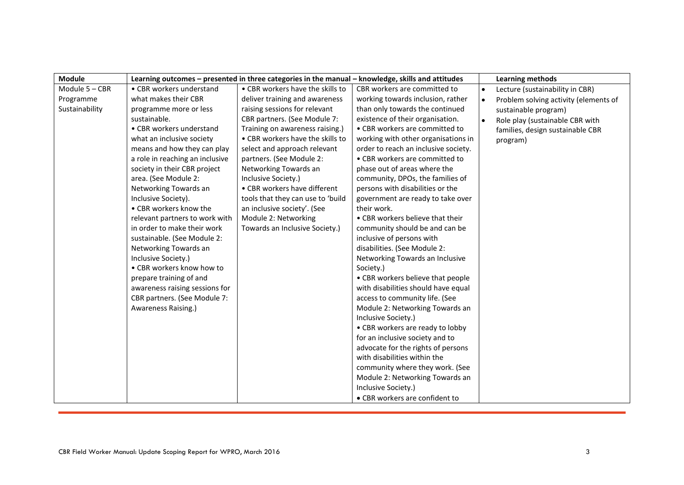| <b>Module</b>  |                                 | Learning outcomes - presented in three categories in the manual - knowledge, skills and attitudes |                                      |           | Learning methods                      |
|----------------|---------------------------------|---------------------------------------------------------------------------------------------------|--------------------------------------|-----------|---------------------------------------|
| Module 5 - CBR | • CBR workers understand        | • CBR workers have the skills to                                                                  | CBR workers are committed to         | $\bullet$ | Lecture (sustainability in CBR)       |
| Programme      | what makes their CBR            | deliver training and awareness                                                                    | working towards inclusion, rather    |           | Problem solving activity (elements of |
| Sustainability | programme more or less          | raising sessions for relevant                                                                     | than only towards the continued      |           | sustainable program)                  |
|                | sustainable.                    | CBR partners. (See Module 7:                                                                      | existence of their organisation.     |           | Role play (sustainable CBR with       |
|                | • CBR workers understand        | Training on awareness raising.)                                                                   | • CBR workers are committed to       |           | families, design sustainable CBR      |
|                | what an inclusive society       | • CBR workers have the skills to                                                                  | working with other organisations in  |           | program)                              |
|                | means and how they can play     | select and approach relevant                                                                      | order to reach an inclusive society. |           |                                       |
|                | a role in reaching an inclusive | partners. (See Module 2:                                                                          | • CBR workers are committed to       |           |                                       |
|                | society in their CBR project    | Networking Towards an                                                                             | phase out of areas where the         |           |                                       |
|                | area. (See Module 2:            | Inclusive Society.)                                                                               | community, DPOs, the families of     |           |                                       |
|                | Networking Towards an           | • CBR workers have different                                                                      | persons with disabilities or the     |           |                                       |
|                | Inclusive Society).             | tools that they can use to 'build                                                                 | government are ready to take over    |           |                                       |
|                | • CBR workers know the          | an inclusive society'. (See                                                                       | their work.                          |           |                                       |
|                | relevant partners to work with  | Module 2: Networking                                                                              | • CBR workers believe that their     |           |                                       |
|                | in order to make their work     | Towards an Inclusive Society.)                                                                    | community should be and can be       |           |                                       |
|                | sustainable. (See Module 2:     |                                                                                                   | inclusive of persons with            |           |                                       |
|                | Networking Towards an           |                                                                                                   | disabilities. (See Module 2:         |           |                                       |
|                | Inclusive Society.)             |                                                                                                   | Networking Towards an Inclusive      |           |                                       |
|                | • CBR workers know how to       |                                                                                                   | Society.)                            |           |                                       |
|                | prepare training of and         |                                                                                                   | • CBR workers believe that people    |           |                                       |
|                | awareness raising sessions for  |                                                                                                   | with disabilities should have equal  |           |                                       |
|                | CBR partners. (See Module 7:    |                                                                                                   | access to community life. (See       |           |                                       |
|                | Awareness Raising.)             |                                                                                                   | Module 2: Networking Towards an      |           |                                       |
|                |                                 |                                                                                                   | Inclusive Society.)                  |           |                                       |
|                |                                 |                                                                                                   | • CBR workers are ready to lobby     |           |                                       |
|                |                                 |                                                                                                   | for an inclusive society and to      |           |                                       |
|                |                                 |                                                                                                   | advocate for the rights of persons   |           |                                       |
|                |                                 |                                                                                                   | with disabilities within the         |           |                                       |
|                |                                 |                                                                                                   | community where they work. (See      |           |                                       |
|                |                                 |                                                                                                   | Module 2: Networking Towards an      |           |                                       |
|                |                                 |                                                                                                   | Inclusive Society.)                  |           |                                       |
|                |                                 |                                                                                                   | • CBR workers are confident to       |           |                                       |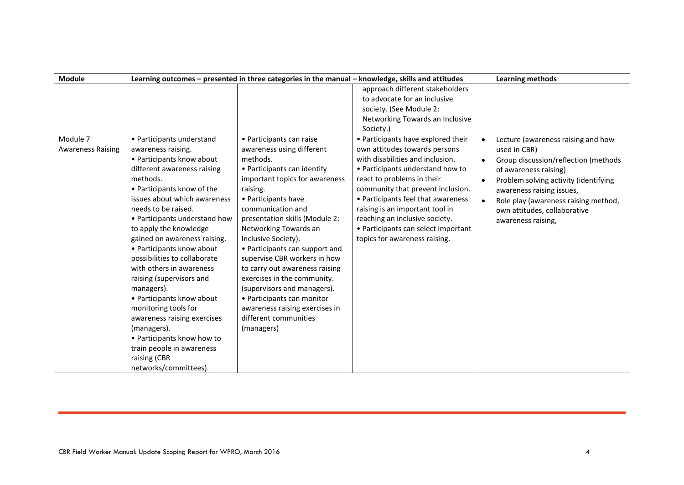| <b>Module</b>                        |                                                                                                                                                                                                                                                                                                                                                                                                                                                                                                                                                                             | Learning outcomes - presented in three categories in the manual - knowledge, skills and attitudes                                                                                                                                                                                                                                                                                                                                                                                                                                                     |                                                                                                                                                                                                                                                                                                                                                                                                   | Learning methods                                                                                                                                                                                                                                                                                                  |
|--------------------------------------|-----------------------------------------------------------------------------------------------------------------------------------------------------------------------------------------------------------------------------------------------------------------------------------------------------------------------------------------------------------------------------------------------------------------------------------------------------------------------------------------------------------------------------------------------------------------------------|-------------------------------------------------------------------------------------------------------------------------------------------------------------------------------------------------------------------------------------------------------------------------------------------------------------------------------------------------------------------------------------------------------------------------------------------------------------------------------------------------------------------------------------------------------|---------------------------------------------------------------------------------------------------------------------------------------------------------------------------------------------------------------------------------------------------------------------------------------------------------------------------------------------------------------------------------------------------|-------------------------------------------------------------------------------------------------------------------------------------------------------------------------------------------------------------------------------------------------------------------------------------------------------------------|
|                                      |                                                                                                                                                                                                                                                                                                                                                                                                                                                                                                                                                                             |                                                                                                                                                                                                                                                                                                                                                                                                                                                                                                                                                       | approach different stakeholders                                                                                                                                                                                                                                                                                                                                                                   |                                                                                                                                                                                                                                                                                                                   |
|                                      |                                                                                                                                                                                                                                                                                                                                                                                                                                                                                                                                                                             |                                                                                                                                                                                                                                                                                                                                                                                                                                                                                                                                                       | to advocate for an inclusive                                                                                                                                                                                                                                                                                                                                                                      |                                                                                                                                                                                                                                                                                                                   |
|                                      |                                                                                                                                                                                                                                                                                                                                                                                                                                                                                                                                                                             |                                                                                                                                                                                                                                                                                                                                                                                                                                                                                                                                                       | society. (See Module 2:                                                                                                                                                                                                                                                                                                                                                                           |                                                                                                                                                                                                                                                                                                                   |
|                                      |                                                                                                                                                                                                                                                                                                                                                                                                                                                                                                                                                                             |                                                                                                                                                                                                                                                                                                                                                                                                                                                                                                                                                       | Networking Towards an Inclusive                                                                                                                                                                                                                                                                                                                                                                   |                                                                                                                                                                                                                                                                                                                   |
|                                      |                                                                                                                                                                                                                                                                                                                                                                                                                                                                                                                                                                             |                                                                                                                                                                                                                                                                                                                                                                                                                                                                                                                                                       | Society.)                                                                                                                                                                                                                                                                                                                                                                                         |                                                                                                                                                                                                                                                                                                                   |
| Module 7<br><b>Awareness Raising</b> | • Participants understand<br>awareness raising.<br>• Participants know about<br>different awareness raising<br>methods.<br>• Participants know of the<br>issues about which awareness<br>needs to be raised.<br>• Participants understand how<br>to apply the knowledge<br>gained on awareness raising.<br>• Participants know about<br>possibilities to collaborate<br>with others in awareness<br>raising (supervisors and<br>managers).<br>• Participants know about<br>monitoring tools for<br>awareness raising exercises<br>(managers).<br>• Participants know how to | • Participants can raise<br>awareness using different<br>methods.<br>• Participants can identify<br>important topics for awareness<br>raising.<br>• Participants have<br>communication and<br>presentation skills (Module 2:<br>Networking Towards an<br>Inclusive Society).<br>• Participants can support and<br>supervise CBR workers in how<br>to carry out awareness raising<br>exercises in the community.<br>(supervisors and managers).<br>• Participants can monitor<br>awareness raising exercises in<br>different communities<br>(managers) | • Participants have explored their<br>own attitudes towards persons<br>with disabilities and inclusion.<br>• Participants understand how to<br>react to problems in their<br>community that prevent inclusion.<br>• Participants feel that awareness<br>raising is an important tool in<br>reaching an inclusive society.<br>• Participants can select important<br>topics for awareness raising. | Lecture (awareness raising and how<br>used in CBR)<br>Group discussion/reflection (methods<br>$\bullet$<br>of awareness raising)<br>Problem solving activity (identifying<br>$\bullet$<br>awareness raising issues,<br>Role play (awareness raising method,<br>own attitudes, collaborative<br>awareness raising, |
|                                      | train people in awareness<br>raising (CBR<br>networks/committees).                                                                                                                                                                                                                                                                                                                                                                                                                                                                                                          |                                                                                                                                                                                                                                                                                                                                                                                                                                                                                                                                                       |                                                                                                                                                                                                                                                                                                                                                                                                   |                                                                                                                                                                                                                                                                                                                   |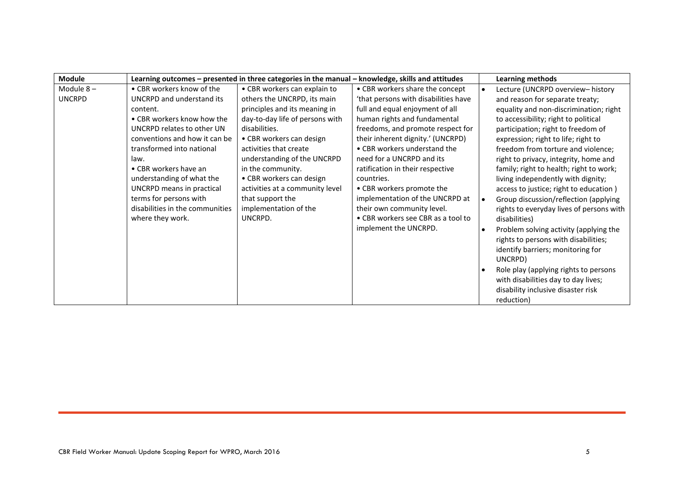| <b>Module</b> |                                 | Learning outcomes - presented in three categories in the manual - knowledge, skills and attitudes |                                      | Learning methods                         |
|---------------|---------------------------------|---------------------------------------------------------------------------------------------------|--------------------------------------|------------------------------------------|
| Module $8-$   | • CBR workers know of the       | • CBR workers can explain to                                                                      | • CBR workers share the concept      | Lecture (UNCRPD overview-history         |
| <b>UNCRPD</b> | UNCRPD and understand its       | others the UNCRPD, its main                                                                       | 'that persons with disabilities have | and reason for separate treaty;          |
|               | content.                        | principles and its meaning in                                                                     | full and equal enjoyment of all      | equality and non-discrimination; right   |
|               | • CBR workers know how the      | day-to-day life of persons with                                                                   | human rights and fundamental         | to accessibility; right to political     |
|               | UNCRPD relates to other UN      | disabilities.                                                                                     | freedoms, and promote respect for    | participation; right to freedom of       |
|               | conventions and how it can be   | • CBR workers can design                                                                          | their inherent dignity.' (UNCRPD)    | expression; right to life; right to      |
|               | transformed into national       | activities that create                                                                            | • CBR workers understand the         | freedom from torture and violence;       |
|               | law.                            | understanding of the UNCRPD                                                                       | need for a UNCRPD and its            | right to privacy, integrity, home and    |
|               | • CBR workers have an           | in the community.                                                                                 | ratification in their respective     | family; right to health; right to work;  |
|               | understanding of what the       | • CBR workers can design                                                                          | countries.                           | living independently with dignity;       |
|               | UNCRPD means in practical       | activities at a community level                                                                   | • CBR workers promote the            | access to justice; right to education)   |
|               | terms for persons with          | that support the                                                                                  | implementation of the UNCRPD at      | Group discussion/reflection (applying    |
|               | disabilities in the communities | implementation of the                                                                             | their own community level.           | rights to everyday lives of persons with |
|               | where they work.                | UNCRPD.                                                                                           | • CBR workers see CBR as a tool to   | disabilities)                            |
|               |                                 |                                                                                                   | implement the UNCRPD.                | Problem solving activity (applying the   |
|               |                                 |                                                                                                   |                                      | rights to persons with disabilities;     |
|               |                                 |                                                                                                   |                                      | identify barriers; monitoring for        |
|               |                                 |                                                                                                   |                                      | UNCRPD)                                  |
|               |                                 |                                                                                                   |                                      | Role play (applying rights to persons    |
|               |                                 |                                                                                                   |                                      | with disabilities day to day lives;      |
|               |                                 |                                                                                                   |                                      | disability inclusive disaster risk       |
|               |                                 |                                                                                                   |                                      | reduction)                               |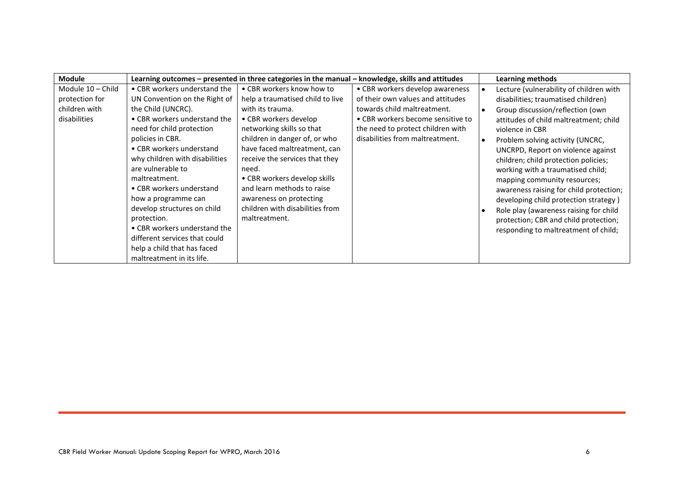| <b>Module</b>     |                                | Learning outcomes - presented in three categories in the manual - knowledge, skills and attitudes |                                   | <b>Learning methods</b>                 |
|-------------------|--------------------------------|---------------------------------------------------------------------------------------------------|-----------------------------------|-----------------------------------------|
| Module 10 - Child | • CBR workers understand the   | • CBR workers know how to                                                                         | • CBR workers develop awareness   | Lecture (vulnerability of children with |
| protection for    | UN Convention on the Right of  | help a traumatised child to live                                                                  | of their own values and attitudes | disabilities; traumatised children)     |
| children with     | the Child (UNCRC).             | with its trauma.                                                                                  | towards child maltreatment.       | Group discussion/reflection (own        |
| disabilities      | • CBR workers understand the   | • CBR workers develop                                                                             | • CBR workers become sensitive to | attitudes of child maltreatment; child  |
|                   | need for child protection      | networking skills so that                                                                         | the need to protect children with | violence in CBR                         |
|                   | policies in CBR.               | children in danger of, or who                                                                     | disabilities from maltreatment.   | Problem solving activity (UNCRC,        |
|                   | • CBR workers understand       | have faced maltreatment, can                                                                      |                                   | UNCRPD, Report on violence against      |
|                   | why children with disabilities | receive the services that they                                                                    |                                   | children; child protection policies;    |
|                   | are vulnerable to              | need.                                                                                             |                                   | working with a traumatised child;       |
|                   | maltreatment.                  | • CBR workers develop skills                                                                      |                                   | mapping community resources;            |
|                   | • CBR workers understand       | and learn methods to raise                                                                        |                                   | awareness raising for child protection; |
|                   | how a programme can            | awareness on protecting                                                                           |                                   | developing child protection strategy)   |
|                   | develop structures on child    | children with disabilities from                                                                   |                                   | Role play (awareness raising for child  |
|                   | protection.                    | maltreatment.                                                                                     |                                   | protection; CBR and child protection;   |
|                   | • CBR workers understand the   |                                                                                                   |                                   | responding to maltreatment of child;    |
|                   | different services that could  |                                                                                                   |                                   |                                         |
|                   | help a child that has faced    |                                                                                                   |                                   |                                         |
|                   | maltreatment in its life.      |                                                                                                   |                                   |                                         |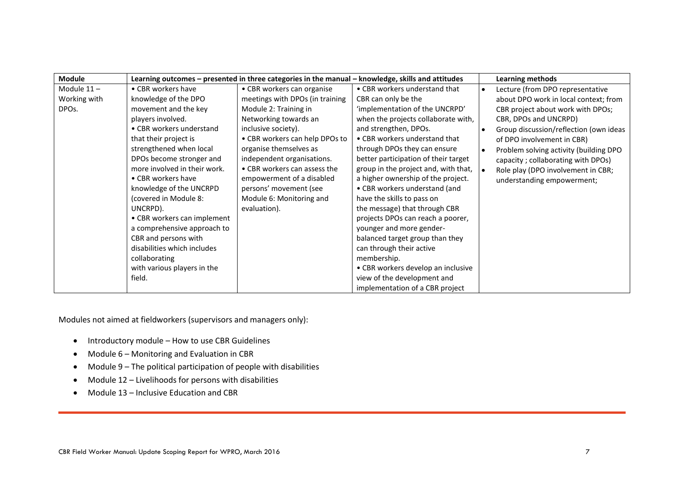| <b>Module</b>      |                              | Learning outcomes - presented in three categories in the manual - knowledge, skills and attitudes |                                      | <b>Learning methods</b>                |
|--------------------|------------------------------|---------------------------------------------------------------------------------------------------|--------------------------------------|----------------------------------------|
| Module 11-         | • CBR workers have           | • CBR workers can organise                                                                        | • CBR workers understand that        | Lecture (from DPO representative       |
| Working with       | knowledge of the DPO         | meetings with DPOs (in training                                                                   | CBR can only be the                  | about DPO work in local context; from  |
| DPO <sub>s</sub> . | movement and the key         | Module 2: Training in                                                                             | 'implementation of the UNCRPD'       | CBR project about work with DPOs;      |
|                    | players involved.            | Networking towards an                                                                             | when the projects collaborate with,  | CBR, DPOs and UNCRPD)                  |
|                    | • CBR workers understand     | inclusive society).                                                                               | and strengthen, DPOs.                | Group discussion/reflection (own ideas |
|                    | that their project is        | • CBR workers can help DPOs to                                                                    | • CBR workers understand that        | of DPO involvement in CBR)             |
|                    | strengthened when local      | organise themselves as                                                                            | through DPOs they can ensure         | Problem solving activity (building DPO |
|                    | DPOs become stronger and     | independent organisations.                                                                        | better participation of their target | capacity; collaborating with DPOs)     |
|                    | more involved in their work. | • CBR workers can assess the                                                                      | group in the project and, with that, | Role play (DPO involvement in CBR;     |
|                    | • CBR workers have           | empowerment of a disabled                                                                         | a higher ownership of the project.   | understanding empowerment;             |
|                    | knowledge of the UNCRPD      | persons' movement (see                                                                            | • CBR workers understand (and        |                                        |
|                    | (covered in Module 8:        | Module 6: Monitoring and                                                                          | have the skills to pass on           |                                        |
|                    | UNCRPD).                     | evaluation).                                                                                      | the message) that through CBR        |                                        |
|                    | • CBR workers can implement  |                                                                                                   | projects DPOs can reach a poorer,    |                                        |
|                    | a comprehensive approach to  |                                                                                                   | younger and more gender-             |                                        |
|                    | CBR and persons with         |                                                                                                   | balanced target group than they      |                                        |
|                    | disabilities which includes  |                                                                                                   | can through their active             |                                        |
|                    | collaborating                |                                                                                                   | membership.                          |                                        |
|                    | with various players in the  |                                                                                                   | • CBR workers develop an inclusive   |                                        |
|                    | field.                       |                                                                                                   | view of the development and          |                                        |
|                    |                              |                                                                                                   | implementation of a CBR project      |                                        |

Modules not aimed at fieldworkers (supervisors and managers only):

- Introductory module How to use CBR Guidelines
- Module 6 Monitoring and Evaluation in CBR
- Module 9 The political participation of people with disabilities
- Module 12 Livelihoods for persons with disabilities
- Module 13 Inclusive Education and CBR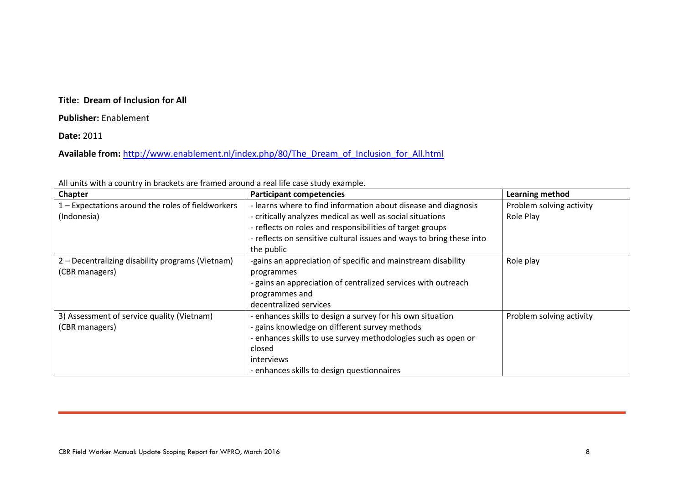#### **Title: Dream of Inclusion for All**

#### **Publisher:** Enablement

#### **Date:** 2011

#### Available from: [http://www.enablement.nl/index.php/80/The\\_Dream\\_of\\_Inclusion\\_for\\_All.html](http://www.enablement.nl/index.php/80/The_Dream_of_Inclusion_for_All.html)

| Chapter                                           | <b>Participant competencies</b>                                      | Learning method          |
|---------------------------------------------------|----------------------------------------------------------------------|--------------------------|
| 1 - Expectations around the roles of fieldworkers | - learns where to find information about disease and diagnosis       | Problem solving activity |
| (Indonesia)                                       | - critically analyzes medical as well as social situations           | Role Play                |
|                                                   | - reflects on roles and responsibilities of target groups            |                          |
|                                                   | - reflects on sensitive cultural issues and ways to bring these into |                          |
|                                                   | the public                                                           |                          |
| 2 – Decentralizing disability programs (Vietnam)  | -gains an appreciation of specific and mainstream disability         | Role play                |
| (CBR managers)                                    | programmes                                                           |                          |
|                                                   | - gains an appreciation of centralized services with outreach        |                          |
|                                                   | programmes and                                                       |                          |
|                                                   | decentralized services                                               |                          |
| 3) Assessment of service quality (Vietnam)        | - enhances skills to design a survey for his own situation           | Problem solving activity |
| (CBR managers)                                    | - gains knowledge on different survey methods                        |                          |
|                                                   | - enhances skills to use survey methodologies such as open or        |                          |
|                                                   | closed                                                               |                          |
|                                                   | interviews                                                           |                          |
|                                                   | - enhances skills to design questionnaires                           |                          |

All units with a country in brackets are framed around a real life case study example.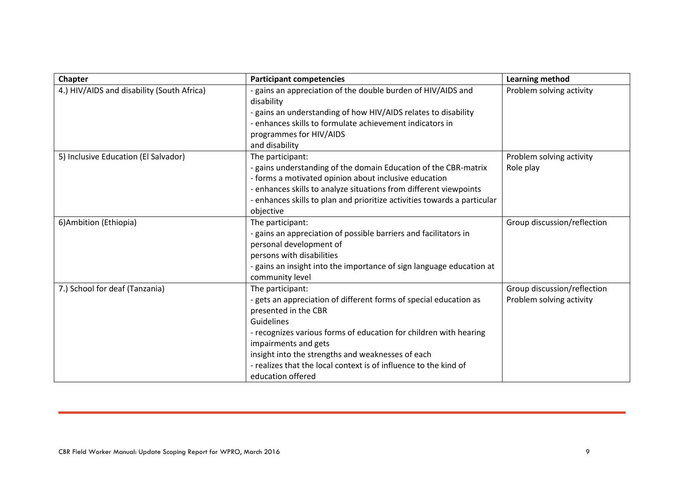| Chapter                                    | <b>Participant competencies</b>                                                                                                                                                                                                                                                                                                                                        | Learning method                                         |
|--------------------------------------------|------------------------------------------------------------------------------------------------------------------------------------------------------------------------------------------------------------------------------------------------------------------------------------------------------------------------------------------------------------------------|---------------------------------------------------------|
| 4.) HIV/AIDS and disability (South Africa) | - gains an appreciation of the double burden of HIV/AIDS and<br>disability<br>- gains an understanding of how HIV/AIDS relates to disability<br>- enhances skills to formulate achievement indicators in<br>programmes for HIV/AIDS                                                                                                                                    | Problem solving activity                                |
|                                            | and disability                                                                                                                                                                                                                                                                                                                                                         |                                                         |
| 5) Inclusive Education (El Salvador)       | The participant:<br>- gains understanding of the domain Education of the CBR-matrix<br>- forms a motivated opinion about inclusive education<br>- enhances skills to analyze situations from different viewpoints<br>- enhances skills to plan and prioritize activities towards a particular<br>objective                                                             | Problem solving activity<br>Role play                   |
| 6) Ambition (Ethiopia)                     | The participant:<br>- gains an appreciation of possible barriers and facilitators in<br>personal development of<br>persons with disabilities<br>- gains an insight into the importance of sign language education at<br>community level                                                                                                                                | Group discussion/reflection                             |
| 7.) School for deaf (Tanzania)             | The participant:<br>- gets an appreciation of different forms of special education as<br>presented in the CBR<br>Guidelines<br>- recognizes various forms of education for children with hearing<br>impairments and gets<br>insight into the strengths and weaknesses of each<br>- realizes that the local context is of influence to the kind of<br>education offered | Group discussion/reflection<br>Problem solving activity |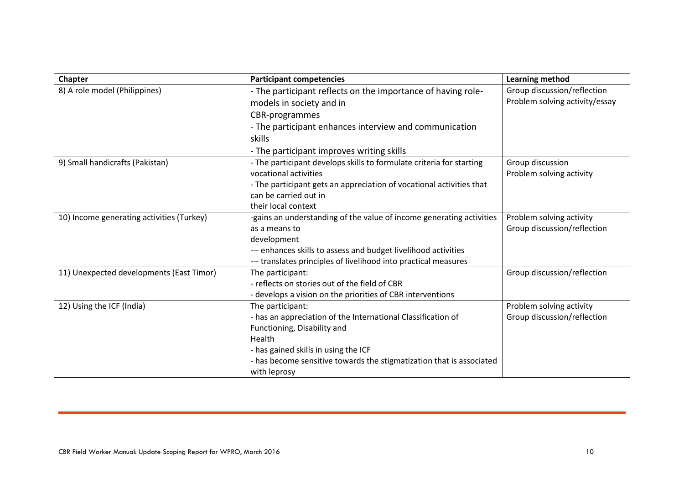| <b>Chapter</b>                            | <b>Participant competencies</b>                                      | <b>Learning method</b>         |
|-------------------------------------------|----------------------------------------------------------------------|--------------------------------|
| 8) A role model (Philippines)             | - The participant reflects on the importance of having role-         | Group discussion/reflection    |
|                                           | models in society and in                                             | Problem solving activity/essay |
|                                           | CBR-programmes                                                       |                                |
|                                           | - The participant enhances interview and communication               |                                |
|                                           | skills                                                               |                                |
|                                           | - The participant improves writing skills                            |                                |
| 9) Small handicrafts (Pakistan)           | - The participant develops skills to formulate criteria for starting | Group discussion               |
|                                           | vocational activities                                                | Problem solving activity       |
|                                           | - The participant gets an appreciation of vocational activities that |                                |
|                                           | can be carried out in                                                |                                |
|                                           | their local context                                                  |                                |
| 10) Income generating activities (Turkey) | -gains an understanding of the value of income generating activities | Problem solving activity       |
|                                           | as a means to                                                        | Group discussion/reflection    |
|                                           | development                                                          |                                |
|                                           | --- enhances skills to assess and budget livelihood activities       |                                |
|                                           | --- translates principles of livelihood into practical measures      |                                |
| 11) Unexpected developments (East Timor)  | The participant:                                                     | Group discussion/reflection    |
|                                           | - reflects on stories out of the field of CBR                        |                                |
|                                           | - develops a vision on the priorities of CBR interventions           |                                |
| 12) Using the ICF (India)                 | The participant:                                                     | Problem solving activity       |
|                                           | - has an appreciation of the International Classification of         | Group discussion/reflection    |
|                                           | Functioning, Disability and                                          |                                |
|                                           | Health                                                               |                                |
|                                           | - has gained skills in using the ICF                                 |                                |
|                                           | - has become sensitive towards the stigmatization that is associated |                                |
|                                           | with leprosy                                                         |                                |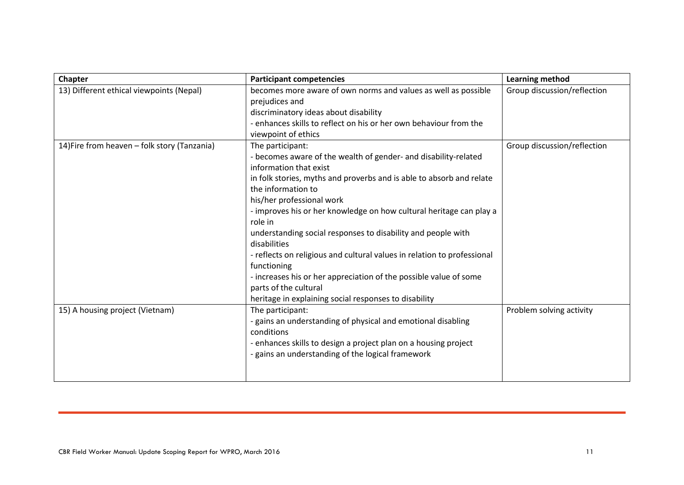| Chapter                                      | <b>Participant competencies</b>                                                                                                                                                                                                                                                                                                                                                                                                                                                                                                                                                                                                                             | <b>Learning method</b>      |
|----------------------------------------------|-------------------------------------------------------------------------------------------------------------------------------------------------------------------------------------------------------------------------------------------------------------------------------------------------------------------------------------------------------------------------------------------------------------------------------------------------------------------------------------------------------------------------------------------------------------------------------------------------------------------------------------------------------------|-----------------------------|
| 13) Different ethical viewpoints (Nepal)     | becomes more aware of own norms and values as well as possible<br>prejudices and<br>discriminatory ideas about disability<br>- enhances skills to reflect on his or her own behaviour from the<br>viewpoint of ethics                                                                                                                                                                                                                                                                                                                                                                                                                                       | Group discussion/reflection |
| 14) Fire from heaven - folk story (Tanzania) | The participant:<br>- becomes aware of the wealth of gender- and disability-related<br>information that exist<br>in folk stories, myths and proverbs and is able to absorb and relate<br>the information to<br>his/her professional work<br>- improves his or her knowledge on how cultural heritage can play a<br>role in<br>understanding social responses to disability and people with<br>disabilities<br>- reflects on religious and cultural values in relation to professional<br>functioning<br>- increases his or her appreciation of the possible value of some<br>parts of the cultural<br>heritage in explaining social responses to disability | Group discussion/reflection |
| 15) A housing project (Vietnam)              | The participant:<br>- gains an understanding of physical and emotional disabling<br>conditions<br>- enhances skills to design a project plan on a housing project<br>- gains an understanding of the logical framework                                                                                                                                                                                                                                                                                                                                                                                                                                      | Problem solving activity    |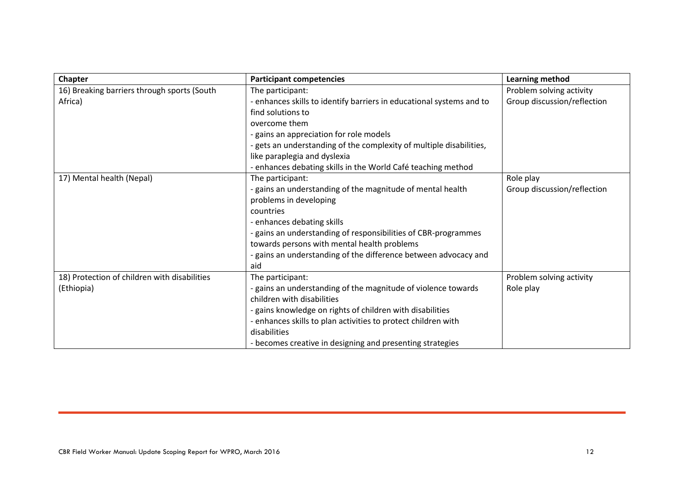| <b>Chapter</b>                               | <b>Participant competencies</b>                                      | <b>Learning method</b>      |
|----------------------------------------------|----------------------------------------------------------------------|-----------------------------|
| 16) Breaking barriers through sports (South  | The participant:                                                     | Problem solving activity    |
| Africa)                                      | - enhances skills to identify barriers in educational systems and to | Group discussion/reflection |
|                                              | find solutions to                                                    |                             |
|                                              | overcome them                                                        |                             |
|                                              | - gains an appreciation for role models                              |                             |
|                                              | - gets an understanding of the complexity of multiple disabilities,  |                             |
|                                              | like paraplegia and dyslexia                                         |                             |
|                                              | - enhances debating skills in the World Café teaching method         |                             |
| 17) Mental health (Nepal)                    | The participant:                                                     | Role play                   |
|                                              | - gains an understanding of the magnitude of mental health           | Group discussion/reflection |
|                                              | problems in developing                                               |                             |
|                                              | countries                                                            |                             |
|                                              | - enhances debating skills                                           |                             |
|                                              | - gains an understanding of responsibilities of CBR-programmes       |                             |
|                                              | towards persons with mental health problems                          |                             |
|                                              | - gains an understanding of the difference between advocacy and      |                             |
|                                              | aid                                                                  |                             |
| 18) Protection of children with disabilities | The participant:                                                     | Problem solving activity    |
| (Ethiopia)                                   | - gains an understanding of the magnitude of violence towards        | Role play                   |
|                                              | children with disabilities                                           |                             |
|                                              | - gains knowledge on rights of children with disabilities            |                             |
|                                              | - enhances skills to plan activities to protect children with        |                             |
|                                              | disabilities                                                         |                             |
|                                              | - becomes creative in designing and presenting strategies            |                             |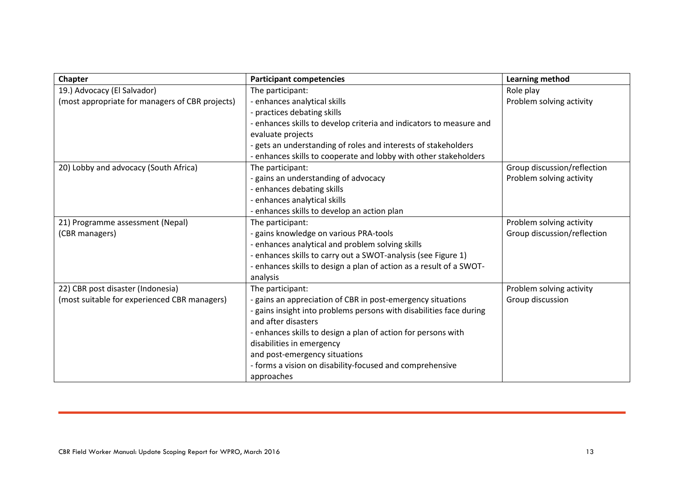| Chapter                                         | <b>Participant competencies</b>                                     | Learning method             |
|-------------------------------------------------|---------------------------------------------------------------------|-----------------------------|
| 19.) Advocacy (El Salvador)                     | The participant:                                                    | Role play                   |
| (most appropriate for managers of CBR projects) | - enhances analytical skills                                        | Problem solving activity    |
|                                                 | - practices debating skills                                         |                             |
|                                                 | - enhances skills to develop criteria and indicators to measure and |                             |
|                                                 | evaluate projects                                                   |                             |
|                                                 | - gets an understanding of roles and interests of stakeholders      |                             |
|                                                 | - enhances skills to cooperate and lobby with other stakeholders    |                             |
| 20) Lobby and advocacy (South Africa)           | The participant:                                                    | Group discussion/reflection |
|                                                 | - gains an understanding of advocacy                                | Problem solving activity    |
|                                                 | - enhances debating skills                                          |                             |
|                                                 | - enhances analytical skills                                        |                             |
|                                                 | - enhances skills to develop an action plan                         |                             |
| 21) Programme assessment (Nepal)                | The participant:                                                    | Problem solving activity    |
| (CBR managers)                                  | - gains knowledge on various PRA-tools                              | Group discussion/reflection |
|                                                 | - enhances analytical and problem solving skills                    |                             |
|                                                 | - enhances skills to carry out a SWOT-analysis (see Figure 1)       |                             |
|                                                 | - enhances skills to design a plan of action as a result of a SWOT- |                             |
|                                                 | analysis                                                            |                             |
| 22) CBR post disaster (Indonesia)               | The participant:                                                    | Problem solving activity    |
| (most suitable for experienced CBR managers)    | - gains an appreciation of CBR in post-emergency situations         | Group discussion            |
|                                                 | - gains insight into problems persons with disabilities face during |                             |
|                                                 | and after disasters                                                 |                             |
|                                                 | - enhances skills to design a plan of action for persons with       |                             |
|                                                 | disabilities in emergency                                           |                             |
|                                                 | and post-emergency situations                                       |                             |
|                                                 | - forms a vision on disability-focused and comprehensive            |                             |
|                                                 | approaches                                                          |                             |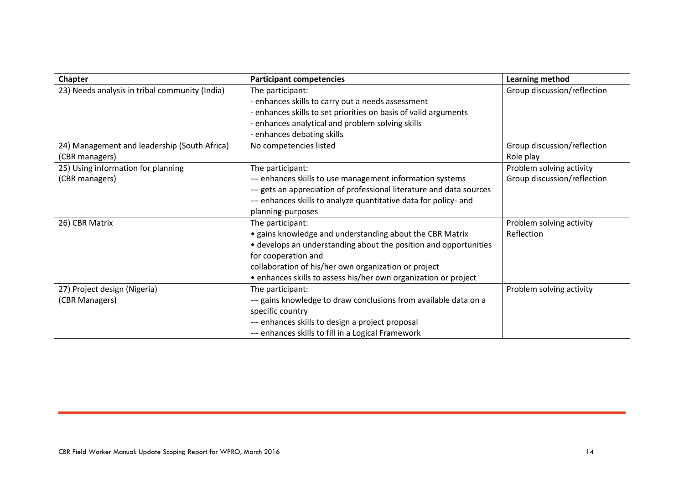| Chapter                                        | <b>Participant competencies</b>                                      | Learning method             |
|------------------------------------------------|----------------------------------------------------------------------|-----------------------------|
| 23) Needs analysis in tribal community (India) | The participant:                                                     | Group discussion/reflection |
|                                                | - enhances skills to carry out a needs assessment                    |                             |
|                                                | - enhances skills to set priorities on basis of valid arguments      |                             |
|                                                | - enhances analytical and problem solving skills                     |                             |
|                                                | - enhances debating skills                                           |                             |
| 24) Management and leadership (South Africa)   | No competencies listed                                               | Group discussion/reflection |
| (CBR managers)                                 |                                                                      | Role play                   |
| 25) Using information for planning             | The participant:                                                     | Problem solving activity    |
| (CBR managers)                                 | --- enhances skills to use management information systems            | Group discussion/reflection |
|                                                | --- gets an appreciation of professional literature and data sources |                             |
|                                                | --- enhances skills to analyze quantitative data for policy- and     |                             |
|                                                | planning-purposes                                                    |                             |
| 26) CBR Matrix                                 | The participant:                                                     | Problem solving activity    |
|                                                | • gains knowledge and understanding about the CBR Matrix             | Reflection                  |
|                                                | • develops an understanding about the position and opportunities     |                             |
|                                                | for cooperation and                                                  |                             |
|                                                | collaboration of his/her own organization or project                 |                             |
|                                                | • enhances skills to assess his/her own organization or project      |                             |
| 27) Project design (Nigeria)                   | The participant:                                                     | Problem solving activity    |
| (CBR Managers)                                 | --- gains knowledge to draw conclusions from available data on a     |                             |
|                                                | specific country                                                     |                             |
|                                                | --- enhances skills to design a project proposal                     |                             |
|                                                | --- enhances skills to fill in a Logical Framework                   |                             |